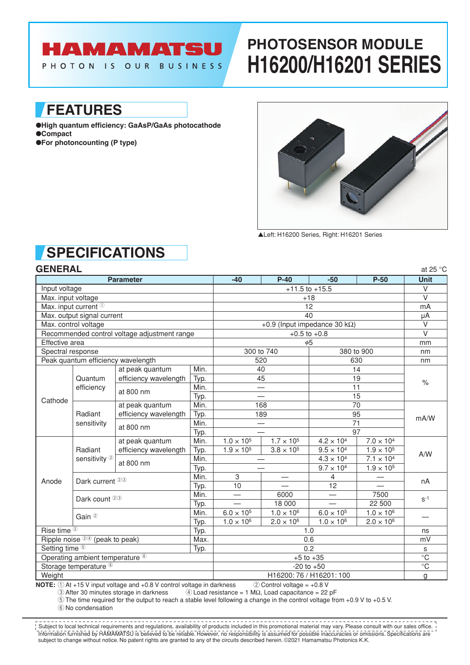# HAMAMATSU

#### PHOTON IS OUR BUSINESS

# **PHOTOSENSOR MODULE H16200/H16201 SERIES**

**FEATURES**

●**High quantum efficiency: GaAsP/GaAs photocathode** ●**Compact** ●**For photoncounting (P type)**



▲Left: H16200 Series, Right: H16201 Series

## **SPECIFICATIONS**

### **GENERAL**

| <b>GENERAL</b><br>at 25 $\degree$ C                                                                                                                                                                                                                                                                                                                                                                                                |                                     |                       |       |                                       |                     |                     |                     |                     |  |
|------------------------------------------------------------------------------------------------------------------------------------------------------------------------------------------------------------------------------------------------------------------------------------------------------------------------------------------------------------------------------------------------------------------------------------|-------------------------------------|-----------------------|-------|---------------------------------------|---------------------|---------------------|---------------------|---------------------|--|
| <b>Parameter</b>                                                                                                                                                                                                                                                                                                                                                                                                                   |                                     |                       | $-40$ | $P-40$                                | $-50$               | $P-50$              | <b>Unit</b>         |                     |  |
| Input voltage                                                                                                                                                                                                                                                                                                                                                                                                                      |                                     |                       |       | $+11.5$ to $+15.5$                    |                     |                     |                     | $\vee$              |  |
| Max. input voltage                                                                                                                                                                                                                                                                                                                                                                                                                 |                                     |                       |       | $+18$                                 |                     |                     |                     | $\vee$              |  |
| Max. input current 1                                                                                                                                                                                                                                                                                                                                                                                                               |                                     |                       |       | 12                                    |                     |                     |                     | mA                  |  |
| Max. output signal current                                                                                                                                                                                                                                                                                                                                                                                                         |                                     |                       |       | 40                                    |                     |                     |                     | μA                  |  |
| Max. control voltage                                                                                                                                                                                                                                                                                                                                                                                                               |                                     |                       |       | +0.9 (Input impedance 30 k $\Omega$ ) |                     |                     |                     | $\vee$              |  |
| Recommended control voltage adjustment range                                                                                                                                                                                                                                                                                                                                                                                       |                                     |                       |       | $+0.5$ to $+0.8$                      |                     |                     |                     | $\vee$              |  |
| Effective area                                                                                                                                                                                                                                                                                                                                                                                                                     |                                     |                       |       | $\phi$ 5                              |                     |                     |                     | mm                  |  |
| Spectral response                                                                                                                                                                                                                                                                                                                                                                                                                  |                                     |                       |       | 300 to 740                            |                     | 380 to 900          | nm                  |                     |  |
| Peak quantum efficiency wavelength                                                                                                                                                                                                                                                                                                                                                                                                 |                                     |                       | 520   |                                       | 630                 |                     | nm                  |                     |  |
| Cathode                                                                                                                                                                                                                                                                                                                                                                                                                            | Quantum<br>efficiency               | at peak quantum       | Min.  |                                       | 40                  |                     | 14                  | $\frac{1}{2}$       |  |
|                                                                                                                                                                                                                                                                                                                                                                                                                                    |                                     | efficiency wavelength | Typ.  |                                       | 45                  |                     | 19                  |                     |  |
|                                                                                                                                                                                                                                                                                                                                                                                                                                    |                                     | at 800 nm             | Min.  |                                       |                     | 11                  |                     |                     |  |
|                                                                                                                                                                                                                                                                                                                                                                                                                                    |                                     |                       | Typ.  |                                       |                     | 15                  |                     |                     |  |
|                                                                                                                                                                                                                                                                                                                                                                                                                                    | Radiant<br>sensitivity              | at peak quantum       | Min.  | 168                                   |                     | 70                  |                     | mA/W                |  |
|                                                                                                                                                                                                                                                                                                                                                                                                                                    |                                     | efficiency wavelength | Typ.  | 189                                   |                     | 95                  |                     |                     |  |
|                                                                                                                                                                                                                                                                                                                                                                                                                                    |                                     | at 800 nm             | Min.  |                                       |                     | 71                  |                     |                     |  |
|                                                                                                                                                                                                                                                                                                                                                                                                                                    |                                     |                       | Typ.  |                                       |                     | 97                  |                     |                     |  |
| Anode                                                                                                                                                                                                                                                                                                                                                                                                                              | Radiant<br>sensitivity <sup>2</sup> | at peak quantum       | Min.  | $1.0 \times 10^{5}$                   | $1.7 \times 10^{5}$ | $4.2 \times 10^{4}$ | $7.0 \times 10^{4}$ | A/W                 |  |
|                                                                                                                                                                                                                                                                                                                                                                                                                                    |                                     | efficiency wavelength | Typ.  | $1.9 \times 10^{5}$                   | $3.8 \times 10^{5}$ | $9.5 \times 10^{4}$ | $1.9 \times 10^{5}$ |                     |  |
|                                                                                                                                                                                                                                                                                                                                                                                                                                    |                                     | at 800 nm             | Min.  |                                       |                     | $4.3 \times 10^{4}$ | $7.1 \times 10^{4}$ |                     |  |
|                                                                                                                                                                                                                                                                                                                                                                                                                                    |                                     |                       | Typ.  |                                       |                     | $9.7 \times 10^{4}$ | $1.9 \times 10^{5}$ |                     |  |
|                                                                                                                                                                                                                                                                                                                                                                                                                                    | Dark current <sup>23</sup>          |                       | Min.  | 3                                     |                     | 4                   |                     | nA                  |  |
|                                                                                                                                                                                                                                                                                                                                                                                                                                    |                                     |                       | Typ.  | 10                                    |                     | 12                  |                     |                     |  |
|                                                                                                                                                                                                                                                                                                                                                                                                                                    | Dark count 23<br>Gain <sup>2</sup>  |                       | Min.  |                                       | 6000                |                     | 7500                | $S-1$               |  |
|                                                                                                                                                                                                                                                                                                                                                                                                                                    |                                     |                       | Typ.  |                                       | 18 000              |                     | 22 500              |                     |  |
|                                                                                                                                                                                                                                                                                                                                                                                                                                    |                                     |                       | Min.  | $6.0 \times 10^{5}$                   | $1.0 \times 10^{6}$ | $6.0 \times 10^{5}$ | $1.0 \times 10^{6}$ |                     |  |
| Typ.                                                                                                                                                                                                                                                                                                                                                                                                                               |                                     |                       |       | $1.0 \times 10^{6}$                   | $2.0 \times 10^{6}$ | $1.0 \times 10^{6}$ | $2.0 \times 10^{6}$ |                     |  |
| Rise time <sup>2</sup><br>Typ.                                                                                                                                                                                                                                                                                                                                                                                                     |                                     |                       |       | 1.0                                   |                     |                     |                     | ns                  |  |
| Ripple noise $(24)$ (peak to peak)<br>Max.<br>Setting time <sup>5</sup>                                                                                                                                                                                                                                                                                                                                                            |                                     |                       |       | 0.6<br>0.2                            |                     |                     |                     | mV                  |  |
| Typ.<br>Operating ambient temperature <sup>6</sup>                                                                                                                                                                                                                                                                                                                                                                                 |                                     |                       |       | $+5$ to $+35$                         |                     |                     |                     | S<br>$\overline{C}$ |  |
| Storage temperature <sup>6</sup>                                                                                                                                                                                                                                                                                                                                                                                                   |                                     |                       |       | $-20$ to $+50$                        |                     |                     |                     | $\overline{C}$      |  |
| Weight                                                                                                                                                                                                                                                                                                                                                                                                                             |                                     |                       |       | H16200: 76 / H16201: 100              |                     |                     |                     |                     |  |
| $\odot$ Captual valtage $\odot$ 0.01/<br>$MOTE.$ $\overline{1}$ , $\overline{1}$ , $\overline{1}$ , $\overline{1}$ , $\overline{1}$ , $\overline{1}$ , $\overline{1}$ , $\overline{1}$ , $\overline{1}$ , $\overline{1}$ , $\overline{1}$ , $\overline{1}$ , $\overline{1}$ , $\overline{1}$ , $\overline{1}$ , $\overline{1}$ , $\overline{1}$ , $\overline{1}$ , $\overline{1}$ , $\overline{1}$ , $\overline{1}$ , $\overline{$ |                                     |                       |       |                                       |                     |                     |                     | g                   |  |

**NOTE:**  $\bigcirc$  At +15 V input voltage and +0.8 V control voltage in darkness  $\bigcirc$  Control voltage = +0.8 V  $\circ$  22  $\circ$  22  $\circ$  22  $\circ$  22  $\circ$  22

 $\overline{4}$  Load resistance = 1 MΩ, Load capacitance = 22 pF

5 The time required for the output to reach a stable level following a change in the control voltage from +0.9 V to +0.5 V.

6 No condensation

Information furnished by HAMAMATSU is believed to be reliable. However, no responsibility is assumed for possible inaccuracies or omissions. Specifications are subject to change without notice. No patent rights are granted to any of the circuits described herein. ©2021 Hamamatsu Photonics K.K. Subject to local technical requirements and regulations, availability of products included in this promotional material may vary. Please consult with our sales office.